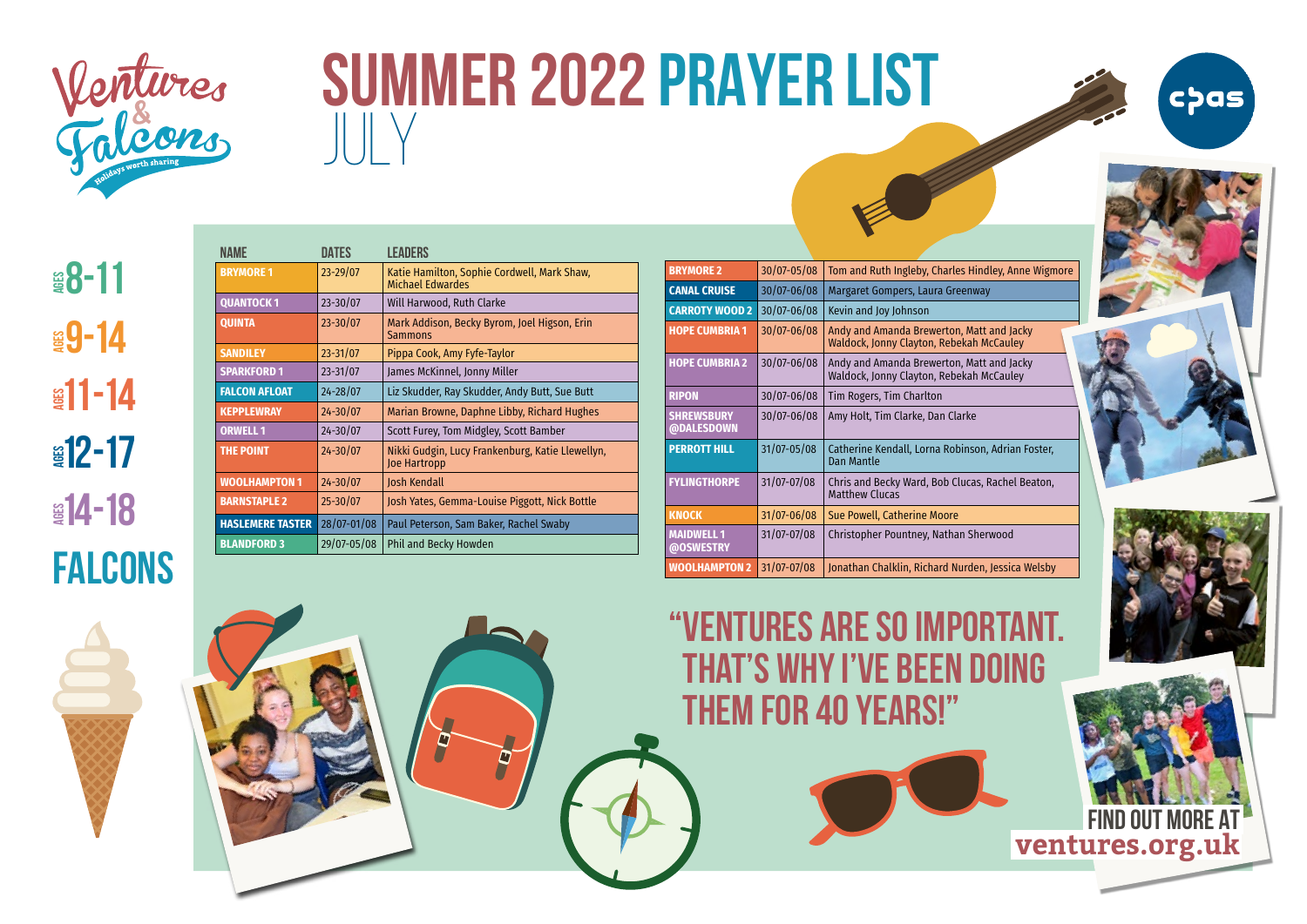

## **SUMMER 2022 PRAYER LIST**  $\parallel \parallel \vee$



| NAMF                    | DATFS        | <b>LEADERS</b>                                                         |
|-------------------------|--------------|------------------------------------------------------------------------|
| <b>BRYMORE 1</b>        | 23-29/07     | Katie Hamilton, Sophie Cordwell, Mark Shaw,<br><b>Michael Edwardes</b> |
| <b>QUANTOCK1</b>        | $23 - 30/07$ | Will Harwood, Ruth Clarke                                              |
| <b>QUINTA</b>           | $23 - 30/07$ | Mark Addison, Becky Byrom, Joel Higson, Erin<br><b>Sammons</b>         |
| <b>SANDILEY</b>         | $23 - 31/07$ | Pippa Cook, Amy Fyfe-Taylor                                            |
| <b>SPARKFORD 1</b>      | $23 - 31/07$ | James McKinnel, Jonny Miller                                           |
| <b>FALCON AFLOAT</b>    | $24 - 28/07$ | Liz Skudder, Ray Skudder, Andy Butt, Sue Butt                          |
| <b>KEPPLEWRAY</b>       | $24 - 30/07$ | Marian Browne, Daphne Libby, Richard Hughes                            |
| <b>ORWELL 1</b>         | $24 - 30/07$ | Scott Furey, Tom Midgley, Scott Bamber                                 |
| <b>THE POINT</b>        | $24 - 30/07$ | Nikki Gudgin, Lucy Frankenburg, Katie Llewellyn,<br>Joe Hartropp       |
| <b>WOOLHAMPTON 1</b>    | $24 - 30/07$ | <b>Josh Kendall</b>                                                    |
| <b>BARNSTAPLE 2</b>     | $25 - 30/07$ | Josh Yates, Gemma-Louise Piggott, Nick Bottle                          |
| <b>HASLEMERE TASTER</b> | 28/07-01/08  | Paul Peterson, Sam Baker, Rachel Swaby                                 |
| <b>BLANDFORD 3</b>      | 29/07-05/08  | Phil and Becky Howden                                                  |

P

| <b>BRYMORE 2</b>                | 30/07-05/08     | Tom and Ruth Ingleby, Charles Hindley, Anne Wigmore                                   |
|---------------------------------|-----------------|---------------------------------------------------------------------------------------|
| <b>CANAL CRUISE</b>             | 30/07-06/08     | Margaret Gompers, Laura Greenway                                                      |
| <b>CARROTY WOOD 2</b>           | 30/07-06/08     | Kevin and Joy Johnson                                                                 |
| <b>HOPE CUMBRIA 1</b>           | 30/07-06/08     | Andy and Amanda Brewerton, Matt and Jacky<br>Waldock, Jonny Clayton, Rebekah McCauley |
| <b>HOPE CUMBRIA 2</b>           | 30/07-06/08     | Andy and Amanda Brewerton, Matt and Jacky<br>Waldock, Jonny Clayton, Rebekah McCauley |
| <b>RIPON</b>                    | $30/07 - 06/08$ | Tim Rogers, Tim Charlton                                                              |
| <b>SHREWSBURY</b><br>@DALESDOWN | $30/07 - 06/08$ | Amy Holt, Tim Clarke, Dan Clarke                                                      |
| <b>PERROTT HILL</b>             | 31/07-05/08     | Catherine Kendall, Lorna Robinson, Adrian Foster,<br><b>Dan Mantle</b>                |
| <b>FYLINGTHORPE</b>             | 31/07-07/08     | Chris and Becky Ward, Bob Clucas, Rachel Beaton,<br><b>Matthew Clucas</b>             |
| <b>KNOCK</b>                    | 31/07-06/08     | Sue Powell, Catherine Moore                                                           |
| <b>MAIDWELL 1</b><br>@OSWESTRY  | 31/07-07/08     | Christopher Pountney, Nathan Sherwood                                                 |
| <b>WOOLHAMPTON 2</b>            | 31/07-07/08     | Jonathan Chalklin, Richard Nurden, Jessica Welsby                                     |



cþas



 **find out more AT** 

**ventures.org.uk** 

## "Ventures are SO important. That's why I've been doing them for 40 years!"